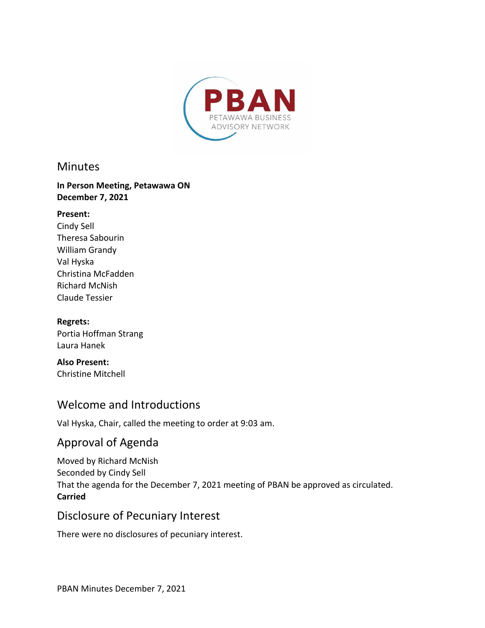

### **Minutes**

#### **In Person Meeting, Petawawa ON December 7, 2021**

#### **Present:**

Cindy Sell Theresa Sabourin William Grandy Val Hyska Christina McFadden Richard McNish Claude Tessier

#### **Regrets:**

Portia Hoffman Strang Laura Hanek

**Also Present:**  Christine Mitchell

## Welcome and Introductions

Val Hyska, Chair, called the meeting to order at 9:03 am.

# Approval of Agenda

Moved by Richard McNish Seconded by Cindy Sell That the agenda for the December 7, 2021 meeting of PBAN be approved as circulated. **Carried**

## Disclosure of Pecuniary Interest

There were no disclosures of pecuniary interest.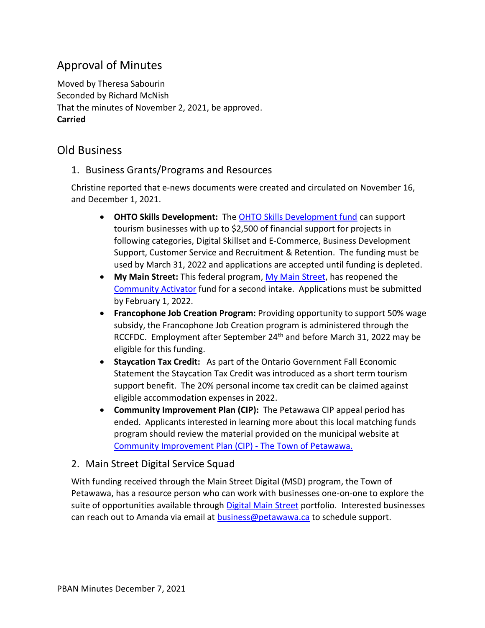# Approval of Minutes

Moved by Theresa Sabourin Seconded by Richard McNish That the minutes of November 2, 2021, be approved. **Carried**

# Old Business

#### 1. Business Grants/Programs and Resources

Christine reported that e-news documents were created and circulated on November 16, and December 1, 2021.

- · **OHTO Skills Development:** The [OHTO Skills Development fund](https://comewander.ca/app/uploads/2021/09/TRIP-Skills-Development-Guidelines-2021-22-FINAL.pdf) can support tourism businesses with up to \$2,500 of financial support for projects in following categories, Digital Skillset and E-Commerce, Business Development Support, Customer Service and Recruitment & Retention. The funding must be used by March 31, 2022 and applications are accepted until funding is depleted.
- · **My Main Street:** This federal program, [My Main Street](https://mymainstreet.ca/), has reopened the [Community Activator](https://mymainstreet.ca/activator-program) fund for a second intake. Applications must be submitted by February 1, 2022.
- · **Francophone Job Creation Program:** Providing opportunity to support 50% wage subsidy, the Francophone Job Creation program is administered through the RCCFDC. Employment after September 24<sup>th</sup> and before March 31, 2022 may be eligible for this funding.
- · **Staycation Tax Credit:** As part of the Ontario Government Fall Economic Statement the Staycation Tax Credit was introduced as a short term tourism support benefit. The 20% personal income tax credit can be claimed against eligible accommodation expenses in 2022.
- · **Community Improvement Plan (CIP):** The Petawawa CIP appeal period has ended. Applicants interested in learning more about this local matching funds program should review the material provided on the municipal website at [Community Improvement Plan \(CIP\) -](https://www.petawawa.ca/business/economic-development/community-improvement-plan-cip/) The Town of Petawawa.

#### 2. Main Street Digital Service Squad

With funding received through the Main Street Digital (MSD) program, the Town of Petawawa, has a resource person who can work with businesses one-on-one to explore the suite of opportunities available through [Digital Main Street](https://digitalmainstreet.ca/) portfolio. Interested businesses can reach out to Amanda via email at **business@petawawa.ca** to schedule support.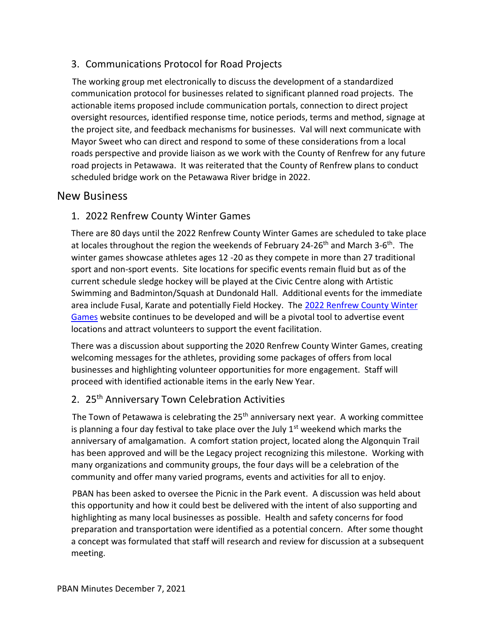### 3. Communications Protocol for Road Projects

The working group met electronically to discuss the development of a standardized communication protocol for businesses related to significant planned road projects. The actionable items proposed include communication portals, connection to direct project oversight resources, identified response time, notice periods, terms and method, signage at the project site, and feedback mechanisms for businesses. Val will next communicate with Mayor Sweet who can direct and respond to some of these considerations from a local roads perspective and provide liaison as we work with the County of Renfrew for any future road projects in Petawawa. It was reiterated that the County of Renfrew plans to conduct scheduled bridge work on the Petawawa River bridge in 2022.

## New Business

### 1. 2022 Renfrew County Winter Games

There are 80 days until the 2022 Renfrew County Winter Games are scheduled to take place at locales throughout the region the weekends of February 24-26<sup>th</sup> and March 3-6<sup>th</sup>. The winter games showcase athletes ages 12 -20 as they compete in more than 27 traditional sport and non-sport events. Site locations for specific events remain fluid but as of the current schedule sledge hockey will be played at the Civic Centre along with Artistic Swimming and Badminton/Squash at Dundonald Hall. Additional events for the immediate area include Fusal, Karate and potentially Field Hockey. The [2022 Renfrew County Winter](https://renfrewcounty2022.ca/)  [Games](https://renfrewcounty2022.ca/) website continues to be developed and will be a pivotal tool to advertise event locations and attract volunteers to support the event facilitation.

There was a discussion about supporting the 2020 Renfrew County Winter Games, creating welcoming messages for the athletes, providing some packages of offers from local businesses and highlighting volunteer opportunities for more engagement. Staff will proceed with identified actionable items in the early New Year.

### 2. 25<sup>th</sup> Anniversary Town Celebration Activities

The Town of Petawawa is celebrating the  $25<sup>th</sup>$  anniversary next year. A working committee is planning a four day festival to take place over the July  $1<sup>st</sup>$  weekend which marks the anniversary of amalgamation. A comfort station project, located along the Algonquin Trail has been approved and will be the Legacy project recognizing this milestone. Working with many organizations and community groups, the four days will be a celebration of the community and offer many varied programs, events and activities for all to enjoy.

PBAN has been asked to oversee the Picnic in the Park event. A discussion was held about this opportunity and how it could best be delivered with the intent of also supporting and highlighting as many local businesses as possible. Health and safety concerns for food preparation and transportation were identified as a potential concern. After some thought a concept was formulated that staff will research and review for discussion at a subsequent meeting.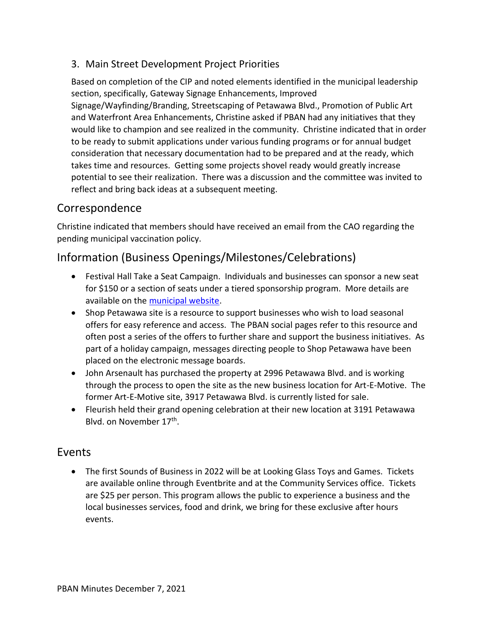## 3. Main Street Development Project Priorities

Based on completion of the CIP and noted elements identified in the municipal leadership section, specifically, Gateway Signage Enhancements, Improved Signage/Wayfinding/Branding, Streetscaping of Petawawa Blvd., Promotion of Public Art and Waterfront Area Enhancements, Christine asked if PBAN had any initiatives that they would like to champion and see realized in the community. Christine indicated that in order to be ready to submit applications under various funding programs or for annual budget consideration that necessary documentation had to be prepared and at the ready, which takes time and resources. Getting some projects shovel ready would greatly increase potential to see their realization. There was a discussion and the committee was invited to reflect and bring back ideas at a subsequent meeting.

# Correspondence

Christine indicated that members should have received an email from the CAO regarding the pending municipal vaccination policy.

# Information (Business Openings/Milestones/Celebrations)

- · Festival Hall Take a Seat Campaign. Individuals and businesses can sponsor a new seat for \$150 or a section of seats under a tiered sponsorship program. More details are available on the [municipal website](https://www.petawawa.ca/things-to-do/arts-heritage/festival-hall/).
- · Shop Petawawa site is a resource to support businesses who wish to load seasonal offers for easy reference and access. The PBAN social pages refer to this resource and often post a series of the offers to further share and support the business initiatives. As part of a holiday campaign, messages directing people to Shop Petawawa have been placed on the electronic message boards.
- · John Arsenault has purchased the property at 2996 Petawawa Blvd. and is working through the process to open the site as the new business location for Art-E-Motive. The former Art-E-Motive site, 3917 Petawawa Blvd. is currently listed for sale.
- · Fleurish held their grand opening celebration at their new location at 3191 Petawawa Blvd. on November 17<sup>th</sup>.

## Events

• The first Sounds of Business in 2022 will be at Looking Glass Toys and Games. Tickets are available online through Eventbrite and at the Community Services office. Tickets are \$25 per person. This program allows the public to experience a business and the local businesses services, food and drink, we bring for these exclusive after hours events.